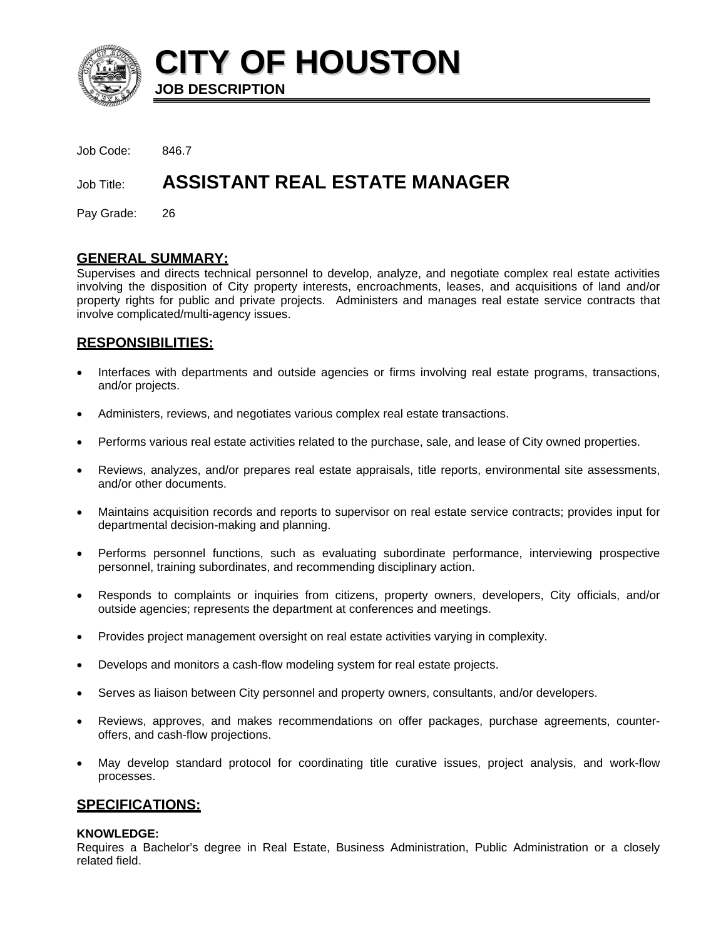

**CITY OF HOUSTON JOB DESCRIPTION** 

Job Code: 846.7

# Job Title: **ASSISTANT REAL ESTATE MANAGER**

Pay Grade: 26

### **GENERAL SUMMARY:**

Supervises and directs technical personnel to develop, analyze, and negotiate complex real estate activities involving the disposition of City property interests, encroachments, leases, and acquisitions of land and/or property rights for public and private projects. Administers and manages real estate service contracts that involve complicated/multi-agency issues.

# **RESPONSIBILITIES:**

- Interfaces with departments and outside agencies or firms involving real estate programs, transactions, and/or projects.
- Administers, reviews, and negotiates various complex real estate transactions.
- Performs various real estate activities related to the purchase, sale, and lease of City owned properties.
- Reviews, analyzes, and/or prepares real estate appraisals, title reports, environmental site assessments, and/or other documents.
- Maintains acquisition records and reports to supervisor on real estate service contracts; provides input for departmental decision-making and planning.
- Performs personnel functions, such as evaluating subordinate performance, interviewing prospective personnel, training subordinates, and recommending disciplinary action.
- Responds to complaints or inquiries from citizens, property owners, developers, City officials, and/or outside agencies; represents the department at conferences and meetings.
- Provides project management oversight on real estate activities varying in complexity.
- Develops and monitors a cash-flow modeling system for real estate projects.
- Serves as liaison between City personnel and property owners, consultants, and/or developers.
- Reviews, approves, and makes recommendations on offer packages, purchase agreements, counteroffers, and cash-flow projections.
- May develop standard protocol for coordinating title curative issues, project analysis, and work-flow processes.

# **SPECIFICATIONS:**

#### **KNOWLEDGE:**

Requires a Bachelor's degree in Real Estate, Business Administration, Public Administration or a closely related field.